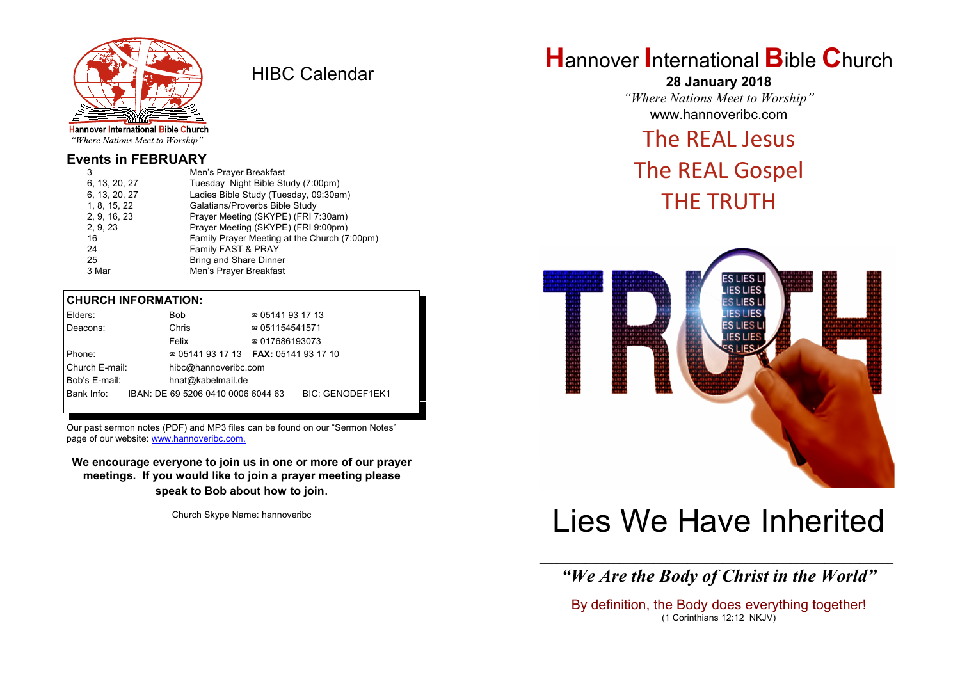

HIBC Calendar

"Where Nations Meet to Worship"

#### **Events in FEBRUARY**

| 3             | Men's Prayer Breakfast                       |
|---------------|----------------------------------------------|
| 6, 13, 20, 27 | Tuesday Night Bible Study (7:00pm)           |
| 6, 13, 20, 27 | Ladies Bible Study (Tuesday, 09:30am)        |
| 1, 8, 15, 22  | Galatians/Proverbs Bible Study               |
| 2, 9, 16, 23  | Prayer Meeting (SKYPE) (FRI 7:30am)          |
| 2, 9, 23      | Prayer Meeting (SKYPE) (FRI 9:00pm)          |
| 16            | Family Prayer Meeting at the Church (7:00pm) |
| 24            | Family FAST & PRAY                           |
| 25            | <b>Bring and Share Dinner</b>                |
| 3 Mar         | Men's Prayer Breakfast                       |
|               |                                              |

#### **CHURCH INFORMATION:**

| Elders:        | Bob                                           | $\approx 05141931713$  |                         |
|----------------|-----------------------------------------------|------------------------|-------------------------|
| Deacons:       | Chris                                         | $\approx 051154541571$ |                         |
|                | Felix                                         | $\approx 017686193073$ |                         |
| Phone:         | $\approx 05141931713$ FAX: 0514193 17 10      |                        |                         |
| Church E-mail: | hibc@hannoveribc.com                          |                        |                         |
| Bob's E-mail:  | hnat@kabelmail.de                             |                        |                         |
|                | Bank Info: IBAN: DE 69 5206 0410 0006 6044 63 |                        | <b>BIC: GENODEF1EK1</b> |
|                |                                               |                        |                         |

Our past sermon notes (PDF) and MP3 files can be found on our "Sermon Notes" page of our website: [www.hannoveribc.com.](http://www.hannoveribc.com.)

**We encourage everyone to join us in one or more of our prayer meetings. If you would like to join a prayer meeting please speak to Bob about how to join**.

Church Skype Name: hannoveribc

## **H**annover **I**nternational **B**ible **C**hurch

**28 January 2018** *"Where Nations Meet to Worship"* www.hannoveribc.com

### The REAL Jesus

## The REAL Gospel THE TRUTH



# Lies We Have Inherited

\_\_\_\_\_\_\_\_\_\_\_\_\_\_\_\_\_\_\_\_\_\_\_\_\_\_\_\_\_\_\_\_\_\_\_\_\_\_\_\_\_\_\_\_\_\_\_\_\_\_\_\_\_\_\_\_\_\_\_\_\_\_ *"We Are the Body of Christ in the World"*

By definition, the Body does everything together! (1 Corinthians 12:12 NKJV)